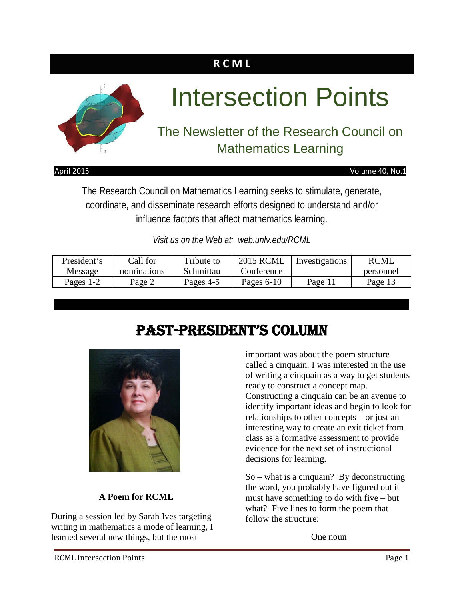### **R C M L**



#### April 2015 Volume 40, No.1

The Research Council on Mathematics Learning seeks to stimulate, generate, coordinate, and disseminate research efforts designed to understand and/or influence factors that affect mathematics learning.

*Visit us on the Web at: web.unlv.edu/RCML*

| President's | Call for    | Tribute to | <b>2015 RCML</b> | Investigations | <b>RCML</b> |
|-------------|-------------|------------|------------------|----------------|-------------|
| Message     | nominations | Schmittau  | Conference       |                | personnel   |
| Pages 1-2   | Page 2      | Pages 4-5  | Pages $6-10$     | Page 11        | Page 13     |

# Past-President's Column



#### **A Poem for RCML**

During a session led by Sarah Ives targeting writing in mathematics a mode of learning, I learned several new things, but the most

important was about the poem structure called a cinquain. I was interested in the use of writing a cinquain as a way to get students ready to construct a concept map. Constructing a cinquain can be an avenue to identify important ideas and begin to look for relationships to other concepts – or just an interesting way to create an exit ticket from class as a formative assessment to provide evidence for the next set of instructional decisions for learning.

So – what is a cinquain? By deconstructing the word, you probably have figured out it must have something to do with five – but what? Five lines to form the poem that follow the structure:

One noun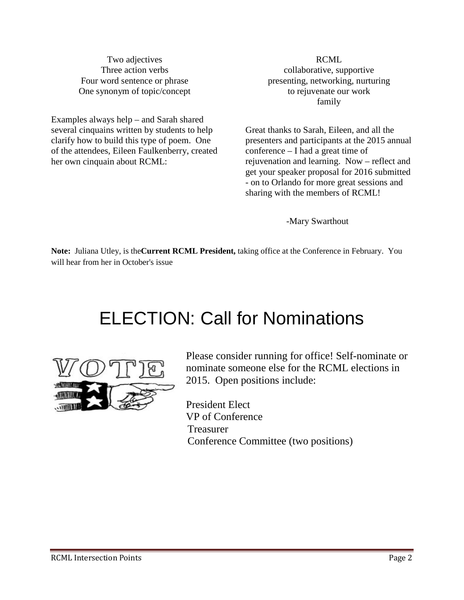Two adjectives Three action verbs Four word sentence or phrase One synonym of topic/concept

Examples always help – and Sarah shared several cinquains written by students to help clarify how to build this type of poem. One of the attendees, Eileen Faulkenberry, created her own cinquain about RCML:

RCML collaborative, supportive presenting, networking, nurturing to rejuvenate our work family

Great thanks to Sarah, Eileen, and all the presenters and participants at the 2015 annual conference – I had a great time of rejuvenation and learning. Now – reflect and get your speaker proposal for 2016 submitted - on to Orlando for more great sessions and sharing with the members of RCML!

-Mary Swarthout

**Note:** Juliana Utley, is the**Current RCML President,** taking office at the Conference in February. You will hear from her in October's issue

# ELECTION: Call for Nominations



Please consider running for office! Self-nominate or nominate someone else for the RCML elections in 2015. Open positions include:

President Elect VP of Conference Treasurer Conference Committee (two positions)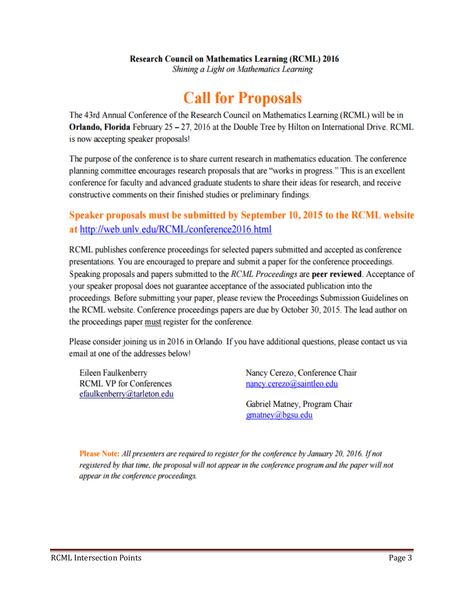#### **Research Council on Mathematics Learning (RCML) 2016**

Shining a Light on Mathematics Learning

# **Call for Proposals**

The 43rd Annual Conference of the Research Council on Mathematics Learning (RCML) will be in **Orlando, Florida** February  $25 - 27$ , 2016 at the Double Tree by Hilton on International Drive. RCML is now accepting speaker proposals!

The purpose of the conference is to share current research in mathematics education. The conference planning committee encourages research proposals that are "works in progress." This is an excellent conference for faculty and advanced graduate students to share their ideas for research, and receive constructive comments on their finished studies or preliminary findings.

### Speaker proposals must be submitted by September 10, 2015 to the RCML website at http://web.unly.edu/RCML/conference2016.html

RCML publishes conference proceedings for selected papers submitted and accepted as conference presentations. You are encouraged to prepare and submit a paper for the conference proceedings. Speaking proposals and papers submitted to the *RCML Proceedings* are **peer reviewed**. Acceptance of your speaker proposal does not guarantee acceptance of the associated publication into the proceedings. Before submitting your paper, please review the Proceedings Submission Guidelines on the RCML website. Conference proceedings papers are due by October 30, 2015. The lead author on the proceedings paper must register for the conference.

Please consider joining us in 2016 in Orlando. If you have additional questions, please contact us via email at one of the addresses below!

Eileen Faulkenberry **RCML VP for Conferences** efaulkenberry@tarleton.edu Nancy Cerezo, Conference Chair nancy.cerezo@saintleo.edu

Gabriel Matney, Program Chair gmatney@bgsu.edu

Please Note: All presenters are required to register for the conference by January 20, 2016. If not registered by that time, the proposal will not appear in the conference program and the paper will not appear in the conference proceedings.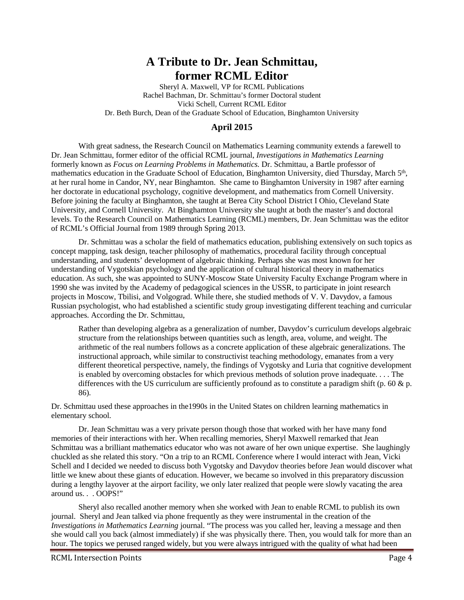### **A Tribute to Dr. Jean Schmittau, former RCML Editor**

Sheryl A. Maxwell, VP for RCML Publications Rachel Bachman, Dr. Schmittau's former Doctoral student Vicki Schell, Current RCML Editor Dr. Beth Burch, Dean of the Graduate School of Education, Binghamton University

#### **April 2015**

With great sadness, the Research Council on Mathematics Learning community extends a farewell to Dr. Jean Schmittau, former editor of the official RCML journal, *Investigations in Mathematics Learning* formerly known as *Focus on Learning Problems in Mathematics.* Dr. Schmittau, a Bartle professor of mathematics education in the Graduate School of Education, Binghamton University, died Thursday, March 5<sup>th</sup>, at her rural home in Candor, NY, near Binghamton. She came to Binghamton University in 1987 after earning her doctorate in educational psychology, cognitive development, and mathematics from Cornell University. Before joining the faculty at Binghamton, she taught at Berea City School District I Ohio, Cleveland State University, and Cornell University. At Binghamton University she taught at both the master's and doctoral levels. To the Research Council on Mathematics Learning (RCML) members, Dr. Jean Schmittau was the editor of RCML's Official Journal from 1989 through Spring 2013.

Dr. Schmittau was a scholar the field of mathematics education, publishing extensively on such topics as concept mapping, task design, teacher philosophy of mathematics, procedural facility through conceptual understanding, and students' development of algebraic thinking. Perhaps she was most known for her understanding of Vygotskian psychology and the application of cultural historical theory in mathematics education. As such, she was appointed to SUNY-Moscow State University Faculty Exchange Program where in 1990 she was invited by the Academy of pedagogical sciences in the USSR, to participate in joint research projects in Moscow, Tbilisi, and Volgograd. While there, she studied methods of V. V. Davydov, a famous Russian psychologist, who had established a scientific study group investigating different teaching and curricular approaches. According the Dr. Schmittau,

Rather than developing algebra as a generalization of number, Davydov's curriculum develops algebraic structure from the relationships between quantities such as length, area, volume, and weight. The arithmetic of the real numbers follows as a concrete application of these algebraic generalizations. The instructional approach, while similar to constructivist teaching methodology, emanates from a very different theoretical perspective, namely, the findings of Vygotsky and Luria that cognitive development is enabled by overcoming obstacles for which previous methods of solution prove inadequate. . . . The differences with the US curriculum are sufficiently profound as to constitute a paradigm shift (p. 60  $\&$  p. 86)*.* 

Dr. Schmittau used these approaches in the1990s in the United States on children learning mathematics in elementary school.

Dr. Jean Schmittau was a very private person though those that worked with her have many fond memories of their interactions with her. When recalling memories, Sheryl Maxwell remarked that Jean Schmittau was a brilliant mathematics educator who was not aware of her own unique expertise. She laughingly chuckled as she related this story. "On a trip to an RCML Conference where I would interact with Jean, Vicki Schell and I decided we needed to discuss both Vygotsky and Davydov theories before Jean would discover what little we knew about these giants of education. However, we became so involved in this preparatory discussion during a lengthy layover at the airport facility, we only later realized that people were slowly vacating the area around us. . . OOPS!"

Sheryl also recalled another memory when she worked with Jean to enable RCML to publish its own journal. Sheryl and Jean talked via phone frequently as they were instrumental in the creation of the *Investigations in Mathematics Learning* journal. "The process was you called her, leaving a message and then she would call you back (almost immediately) if she was physically there. Then, you would talk for more than an hour. The topics we perused ranged widely, but you were always intrigued with the quality of what had been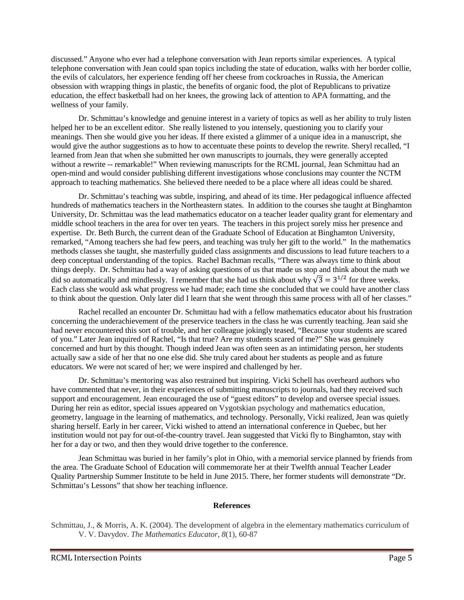discussed." Anyone who ever had a telephone conversation with Jean reports similar experiences. A typical telephone conversation with Jean could span topics including the state of education, walks with her border collie, the evils of calculators, her experience fending off her cheese from cockroaches in Russia, the American obsession with wrapping things in plastic, the benefits of organic food, the plot of Republicans to privatize education, the effect basketball had on her knees, the growing lack of attention to APA formatting, and the wellness of your family.

Dr. Schmittau's knowledge and genuine interest in a variety of topics as well as her ability to truly listen helped her to be an excellent editor. She really listened to you intensely, questioning you to clarify your meanings. Then she would give you her ideas. If there existed a glimmer of a unique idea in a manuscript, she would give the author suggestions as to how to accentuate these points to develop the rewrite. Sheryl recalled, "I learned from Jean that when she submitted her own manuscripts to journals, they were generally accepted without a rewrite -- remarkable!" When reviewing manuscripts for the RCML journal, Jean Schmittau had an open-mind and would consider publishing different investigations whose conclusions may counter the NCTM approach to teaching mathematics. She believed there needed to be a place where all ideas could be shared.

Dr. Schmittau's teaching was subtle, inspiring, and ahead of its time. Her pedagogical influence affected hundreds of mathematics teachers in the Northeastern states. In addition to the courses she taught at Binghamton University, Dr. Schmittau was the lead mathematics educator on a teacher leader quality grant for elementary and middle school teachers in the area for over ten years. The teachers in this project sorely miss her presence and expertise. Dr. Beth Burch, the current dean of the Graduate School of Education at Binghamton University, remarked, "Among teachers she had few peers, and teaching was truly her gift to the world." In the mathematics methods classes she taught, she masterfully guided class assignments and discussions to lead future teachers to a deep conceptual understanding of the topics. Rachel Bachman recalls, "There was always time to think about things deeply. Dr. Schmittau had a way of asking questions of us that made us stop and think about the math we did so automatically and mindlessly. I remember that she had us think about why  $\sqrt{3} = 3^{1/2}$  for three weeks. Each class she would ask what progress we had made; each time she concluded that we could have another class to think about the question. Only later did I learn that she went through this same process with all of her classes."

Rachel recalled an encounter Dr. Schmittau had with a fellow mathematics educator about his frustration concerning the underachievement of the preservice teachers in the class he was currently teaching. Jean said she had never encountered this sort of trouble, and her colleague jokingly teased, "Because your students are scared of you." Later Jean inquired of Rachel, "Is that true? Are my students scared of me?" She was genuinely concerned and hurt by this thought. Though indeed Jean was often seen as an intimidating person, her students actually saw a side of her that no one else did. She truly cared about her students as people and as future educators. We were not scared of her; we were inspired and challenged by her.

Dr. Schmittau's mentoring was also restrained but inspiring. Vicki Schell has overheard authors who have commented that never, in their experiences of submitting manuscripts to journals, had they received such support and encouragement. Jean encouraged the use of "guest editors" to develop and oversee special issues. During her rein as editor, special issues appeared on Vygotskian psychology and mathematics education, geometry, language in the learning of mathematics, and technology. Personally, Vicki realized, Jean was quietly sharing herself. Early in her career, Vicki wished to attend an international conference in Quebec, but her institution would not pay for out-of-the-country travel. Jean suggested that Vicki fly to Binghamton, stay with her for a day or two, and then they would drive together to the conference.

Jean Schmittau was buried in her family's plot in Ohio, with a memorial service planned by friends from the area. The Graduate School of Education will commemorate her at their Twelfth annual Teacher Leader Quality Partnership Summer Institute to be held in June 2015. There, her former students will demonstrate "Dr. Schmittau's Lessons" that show her teaching influence.

#### **References**

Schmittau, J., & Morris, A. K. (2004). The development of algebra in the elementary mathematics curriculum of V. V. Davydov. *The Mathematics Educator, 8*(1), 60-87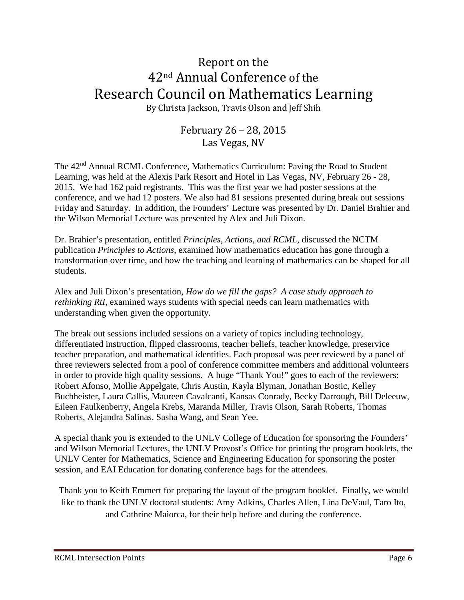### Report on the 42nd Annual Conference of the Research Council on Mathematics Learning

By Christa Jackson, Travis Olson and Jeff Shih

#### February 26 – 28, 2015 Las Vegas, NV

The 42nd Annual RCML Conference, Mathematics Curriculum: Paving the Road to Student Learning, was held at the Alexis Park Resort and Hotel in Las Vegas, NV, February 26 - 28, 2015. We had 162 paid registrants. This was the first year we had poster sessions at the conference, and we had 12 posters. We also had 81 sessions presented during break out sessions Friday and Saturday. In addition, the Founders' Lecture was presented by Dr. Daniel Brahier and the Wilson Memorial Lecture was presented by Alex and Juli Dixon.

Dr. Brahier's presentation, entitled *Principles, Actions, and RCML,* discussed the NCTM publication *Principles to Actions*, examined how mathematics education has gone through a transformation over time, and how the teaching and learning of mathematics can be shaped for all students.

Alex and Juli Dixon's presentation, *How do we fill the gaps? A case study approach to rethinking RtI*, examined ways students with special needs can learn mathematics with understanding when given the opportunity.

The break out sessions included sessions on a variety of topics including technology, differentiated instruction, flipped classrooms, teacher beliefs, teacher knowledge, preservice teacher preparation, and mathematical identities. Each proposal was peer reviewed by a panel of three reviewers selected from a pool of conference committee members and additional volunteers in order to provide high quality sessions. A huge "Thank You!" goes to each of the reviewers: Robert Afonso, Mollie Appelgate, Chris Austin, Kayla Blyman, Jonathan Bostic, Kelley Buchheister, Laura Callis, Maureen Cavalcanti, Kansas Conrady, Becky Darrough, Bill Deleeuw, Eileen Faulkenberry, Angela Krebs, Maranda Miller, Travis Olson, Sarah Roberts, Thomas Roberts, Alejandra Salinas, Sasha Wang, and Sean Yee.

A special thank you is extended to the UNLV College of Education for sponsoring the Founders' and Wilson Memorial Lectures, the UNLV Provost's Office for printing the program booklets, the UNLV Center for Mathematics, Science and Engineering Education for sponsoring the poster session, and EAI Education for donating conference bags for the attendees.

Thank you to Keith Emmert for preparing the layout of the program booklet. Finally, we would like to thank the UNLV doctoral students: Amy Adkins, Charles Allen, Lina DeVaul, Taro Ito, and Cathrine Maiorca, for their help before and during the conference.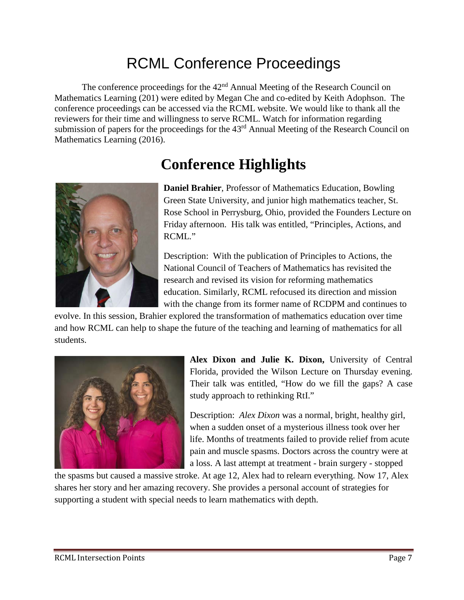# RCML Conference Proceedings

The conference proceedings for the 42<sup>nd</sup> Annual Meeting of the Research Council on Mathematics Learning (201) were edited by Megan Che and co-edited by Keith Adophson. The conference proceedings can be accessed via the RCML website. We would like to thank all the reviewers for their time and willingness to serve RCML. Watch for information regarding submission of papers for the proceedings for the 43<sup>rd</sup> Annual Meeting of the Research Council on Mathematics Learning (2016).

# **Conference Highlights**



**Daniel Brahier**, Professor of Mathematics Education, Bowling Green State University, and junior high mathematics teacher, St. Rose School in Perrysburg, Ohio, provided the Founders Lecture on Friday afternoon. His talk was entitled, "Principles, Actions, and RCML."

Description: With the publication of Principles to Actions, the National Council of Teachers of Mathematics has revisited the research and revised its vision for reforming mathematics education. Similarly, RCML refocused its direction and mission with the change from its former name of RCDPM and continues to

evolve. In this session, Brahier explored the transformation of mathematics education over time and how RCML can help to shape the future of the teaching and learning of mathematics for all students.



**Alex Dixon and Julie K. Dixon,** University of Central Florida, provided the Wilson Lecture on Thursday evening. Their talk was entitled, "How do we fill the gaps? A case study approach to rethinking RtI."

Description: *Alex Dixon* was a normal, bright, healthy girl, when a sudden onset of a mysterious illness took over her life. Months of treatments failed to provide relief from acute pain and muscle spasms. Doctors across the country were at a loss. A last attempt at treatment - brain surgery - stopped

the spasms but caused a massive stroke. At age 12, Alex had to relearn everything. Now 17, Alex shares her story and her amazing recovery. She provides a personal account of strategies for supporting a student with special needs to learn mathematics with depth.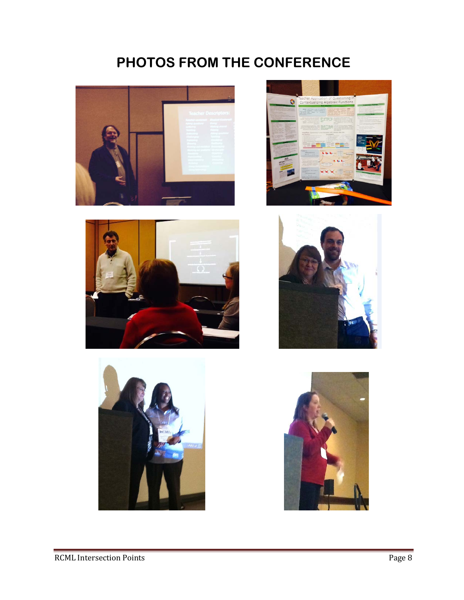# **PHOTOS FROM THE CONFERENCE**











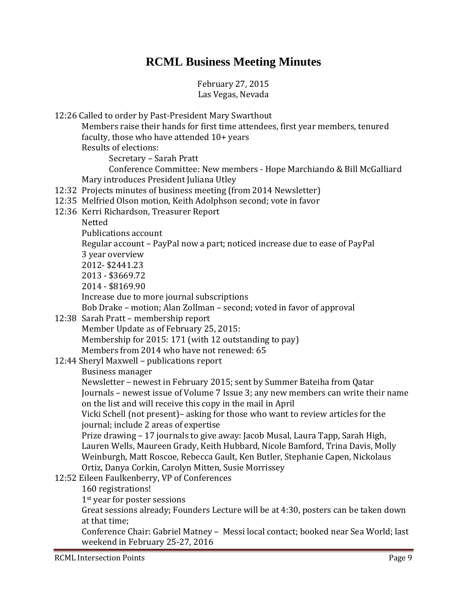### **RCML Business Meeting Minutes**

February 27, 2015 Las Vegas, Nevada

12:26 Called to order by Past-President Mary Swarthout

Members raise their hands for first time attendees, first year members, tenured faculty, those who have attended 10+ years

Results of elections:

Secretary – Sarah Pratt

Conference Committee: New members - Hope Marchiando & Bill McGalliard Mary introduces President Juliana Utley

- 12:32 Projects minutes of business meeting (from 2014 Newsletter)
- 12:35 Melfried Olson motion, Keith Adolphson second; vote in favor
- 12:36 Kerri Richardson, Treasurer Report

Netted

Publications account

Regular account – PayPal now a part; noticed increase due to ease of PayPal

3 year overview

2012- \$2441.23

2013 - \$3669.72

2014 - \$8169.90

Increase due to more journal subscriptions

Bob Drake – motion; Alan Zollman – second; voted in favor of approval

- 12:38 Sarah Pratt membership report Member Update as of February 25, 2015: Membership for 2015: 171 (with 12 outstanding to pay) Members from 2014 who have not renewed: 65
- 12:44 Sheryl Maxwell publications report

Business manager

Newsletter – newest in February 2015; sent by Summer Bateiha from Qatar Journals – newest issue of Volume 7 Issue 3; any new members can write their name on the list and will receive this copy in the mail in April

Vicki Schell (not present)– asking for those who want to review articles for the journal; include 2 areas of expertise

Prize drawing – 17 journals to give away: Jacob Musal, Laura Tapp, Sarah High, Lauren Wells, Maureen Grady, Keith Hubbard, Nicole Bamford, Trina Davis, Molly Weinburgh, Matt Roscoe, Rebecca Gault, Ken Butler, Stephanie Capen, Nickolaus Ortiz, Danya Corkin, Carolyn Mitten, Susie Morrissey

12:52 Eileen Faulkenberry, VP of Conferences

160 registrations!

1st year for poster sessions

Great sessions already; Founders Lecture will be at 4:30, posters can be taken down at that time;

Conference Chair: Gabriel Matney – Messi local contact; booked near Sea World; last weekend in February 25-27, 2016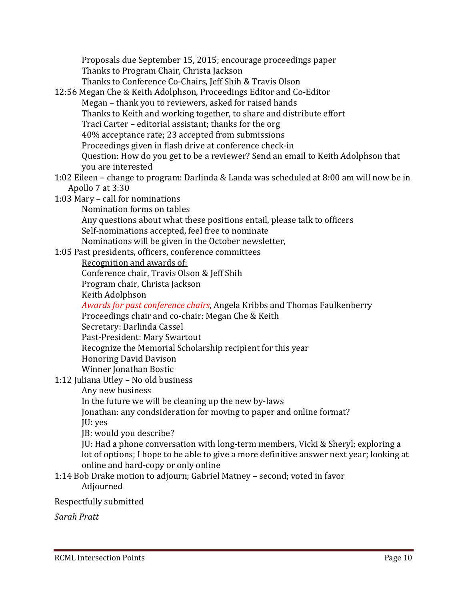Proposals due September 15, 2015; encourage proceedings paper Thanks to Program Chair, Christa Jackson Thanks to Conference Co-Chairs, Jeff Shih & Travis Olson

- 12:56 Megan Che & Keith Adolphson, Proceedings Editor and Co-Editor Megan – thank you to reviewers, asked for raised hands Thanks to Keith and working together, to share and distribute effort Traci Carter – editorial assistant; thanks for the org 40% acceptance rate; 23 accepted from submissions Proceedings given in flash drive at conference check-in Question: How do you get to be a reviewer? Send an email to Keith Adolphson that you are interested
- 1:02 Eileen change to program: Darlinda & Landa was scheduled at 8:00 am will now be in Apollo 7 at 3:30
- 1:03 Mary call for nominations
	- Nomination forms on tables

Any questions about what these positions entail, please talk to officers Self-nominations accepted, feel free to nominate

- Nominations will be given in the October newsletter,
- 1:05 Past presidents, officers, conference committees

#### Recognition and awards of:

Conference chair, Travis Olson & Jeff Shih

Program chair, Christa Jackson

Keith Adolphson

*Awards for past conference chairs*, Angela Kribbs and Thomas Faulkenberry Proceedings chair and co-chair: Megan Che & Keith

Secretary: Darlinda Cassel

Past-President: Mary Swartout

- Recognize the Memorial Scholarship recipient for this year
- Honoring David Davison
- Winner Jonathan Bostic
- 1:12 Juliana Utley No old business
	- Any new business

In the future we will be cleaning up the new by-laws

Jonathan: any condsideration for moving to paper and online format? JU: yes

JB: would you describe?

JU: Had a phone conversation with long-term members, Vicki & Sheryl; exploring a lot of options; I hope to be able to give a more definitive answer next year; looking at online and hard-copy or only online

#### 1:14 Bob Drake motion to adjourn; Gabriel Matney – second; voted in favor Adjourned

#### Respectfully submitted

*Sarah Pratt*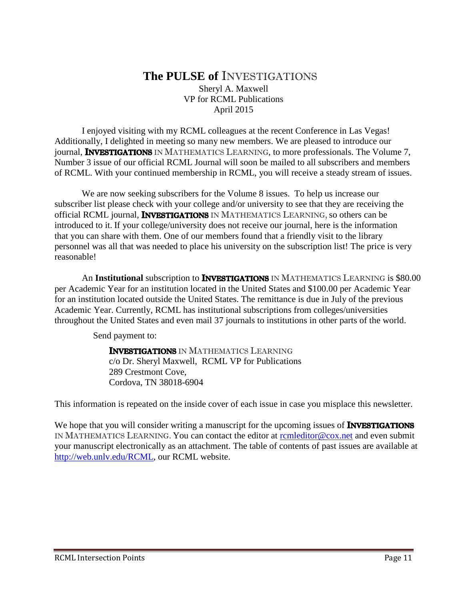#### **The PULSE of** INVESTIGATIONS Sheryl A. Maxwell VP for RCML Publications April 2015

I enjoyed visiting with my RCML colleagues at the recent Conference in Las Vegas! Additionally, I delighted in meeting so many new members. We are pleased to introduce our journal, **INVESTIGATIONS** IN MATHEMATICS LEARNING, to more professionals. The Volume 7, Number 3 issue of our official RCML Journal will soon be mailed to all subscribers and members of RCML. With your continued membership in RCML, you will receive a steady stream of issues.

We are now seeking subscribers for the Volume 8 issues. To help us increase our subscriber list please check with your college and/or university to see that they are receiving the official RCML journal, **INVESTIGATIONS** IN MATHEMATICS LEARNING, so others can be introduced to it. If your college/university does not receive our journal, here is the information that you can share with them. One of our members found that a friendly visit to the library personnel was all that was needed to place his university on the subscription list! The price is very reasonable!

An Institutional subscription to INVESTIGATIONS IN MATHEMATICS LEARNING is \$80.00 per Academic Year for an institution located in the United States and \$100.00 per Academic Year for an institution located outside the United States. The remittance is due in July of the previous Academic Year. Currently, RCML has institutional subscriptions from colleges/universities throughout the United States and even mail 37 journals to institutions in other parts of the world.

Send payment to:

**INVESTIGATIONS** IN MATHEMATICS LEARNING c/o Dr. Sheryl Maxwell, RCML VP for Publications 289 Crestmont Cove, Cordova, TN 38018-6904

This information is repeated on the inside cover of each issue in case you misplace this newsletter.

We hope that you will consider writing a manuscript for the upcoming issues of **INVESTIGATIONS** IN MATHEMATICS LEARNING. You can contact the editor at [rcmleditor@cox.net](mailto:rcmleditor@cox.net) and even submit your manuscript electronically as an attachment. The table of contents of past issues are available at [http://web.unlv.edu/RCML,](http://web.unlv.edu/RCML) our RCML website.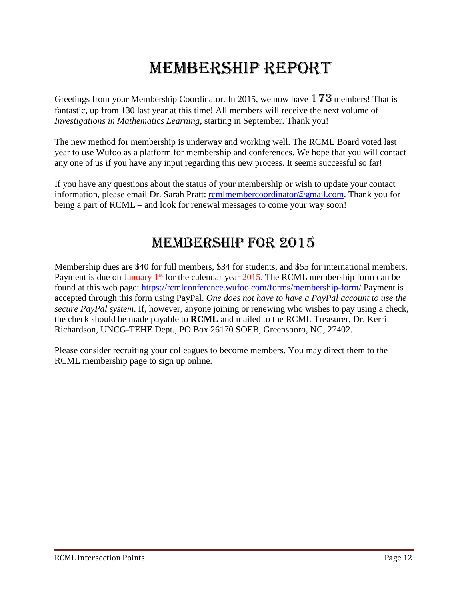# MEMBERSHIP REPORT

Greetings from your Membership Coordinator. In 2015, we now have 173 members! That is fantastic, up from 130 last year at this time! All members will receive the next volume of *Investigations in Mathematics Learning*, starting in September. Thank you!

The new method for membership is underway and working well. The RCML Board voted last year to use Wufoo as a platform for membership and conferences. We hope that you will contact any one of us if you have any input regarding this new process. It seems successful so far!

If you have any questions about the status of your membership or wish to update your contact information, please email Dr. Sarah Pratt: [rcmlmembercoordinator@gmail.com.](mailto:rcmlmembercoordinator@gmail.com) Thank you for being a part of RCML – and look for renewal messages to come your way soon!

### MEMBERSHIP for 2015

Membership dues are \$40 for full members, \$34 for students, and \$55 for international members. Payment is due on January  $1<sup>st</sup>$  for the calendar year 2015. The RCML membership form can be found at this web page:<https://rcmlconference.wufoo.com/forms/membership-form/> Payment is accepted through this form using PayPal. *One does not have to have a PayPal account to use the secure PayPal system*. If, however, anyone joining or renewing who wishes to pay using a check, the check should be made payable to **RCML** and mailed to the RCML Treasurer, Dr. Kerri Richardson, UNCG-TEHE Dept., PO Box 26170 SOEB, Greensboro, NC, 27402.

Please consider recruiting your colleagues to become members. You may direct them to the RCML membership page to sign up online.